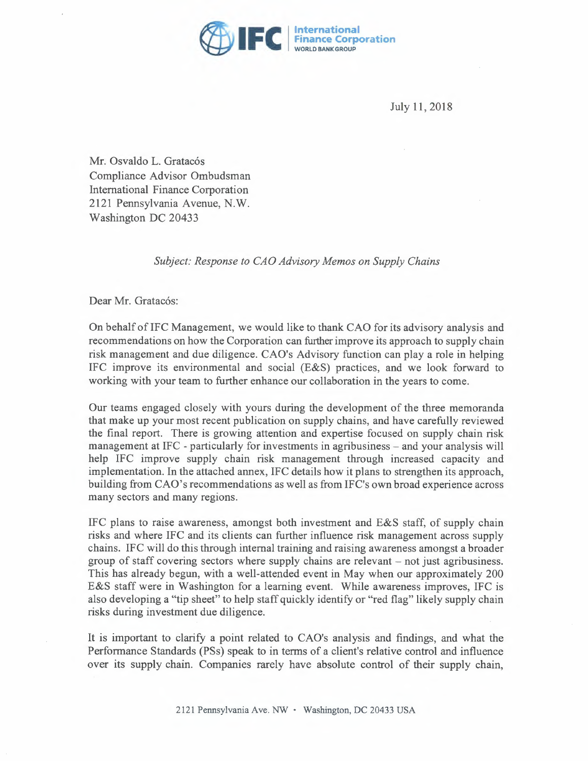

July 11, 2018

Mr. Osvaldo L. Gratacós Compliance Advisor Ombudsman International Finance Corporation 2121 Pennsylvania Avenue, N.W. Washington DC 20433

## *Subject: Response to CAO Advisory Memos on Supply Chains*

Dear Mr. Gratacós:

On behalf of IFC Management, we would like to thank CAO for its advisory analysis and recommendations on how the Corporation can further improve its approach to supply chain risk management and due diligence. CAO's Advisory function can play a role in helping IFC improve its environmental and social (E&S) practices, and we look forward to working with your team to further enhance our collaboration in the years to come.

Our teams engaged closely with yours during the development of the three memoranda that make up your most recent publication on supply chains, and have carefully reviewed the final report. There is growing attention and expertise focused on supply chain risk management at IFC - particularly for investments in agribusiness – and your analysis will help IFC improve supply chain risk management through increased capacity and implementation. In the attached annex, IFC details how it plans to strengthen its approach, building from CAO's recommendations as well as from IFC's own broad experience across many sectors and many regions.

IFC plans to raise awareness, amongst both investment and E&S staff, of supply chain risks and where IFC and its clients can further influence risk management across supply chains. IFC will do this through internal training and raising awareness amongst a broader group of staff covering sectors where supply chains are relevant - not just agribusiness. This has already begun, with a well-attended event in May when our approximately 200 E&S staff were in Washington for a learning event. While awareness improves, IFC is also developing a "tip sheet" to help staff quickly identify or "red flag" likely supply chain risks during investment due diligence.

It is important to clarify a point related to CAO's analysis and findings, and what the Performance Standards (PSs) speak to in terms of a client's relative control and influence over its supply chain. Companies rarely have absolute control of their supply chain,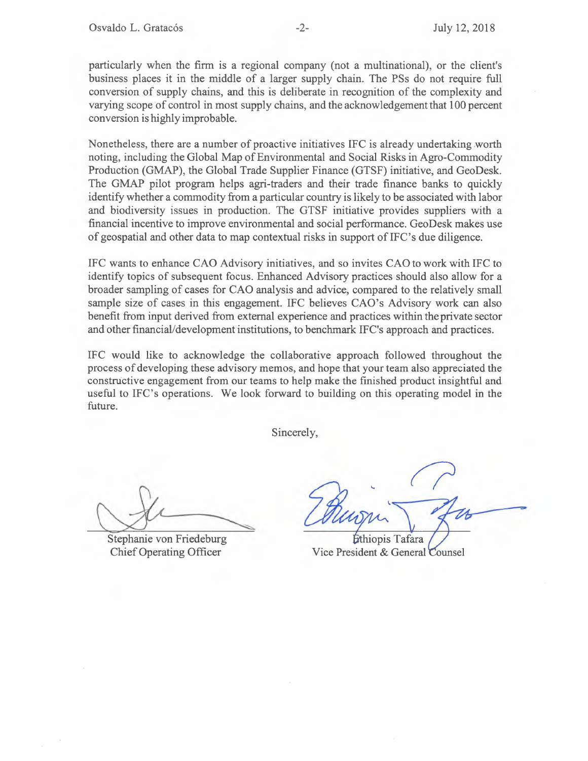particularly when the firm is a regional company (not a multinational), or the client's business places it in the middle of a larger supply chain. The PSs do not require full conversion of supply chains, and this is deliberate in recognition of the complexity and varying scope of control in most supply chains, and the acknowledgement that 100 percent conversion is highly improbable.

Nonetheless, there are a number of proactive initiatives IFC is already undertaking .worth noting, including the Global Map of Environmental and Social Risks in Agro-Commodity Production (GMAP), the Global Trade Supplier Finance (GTSF) initiative, and GeoDesk. The GMAP pilot program helps agri-traders and their trade finance banks to quickly identify whether a commodity from a particular country is likely to be associated with labor and biodiversity issues in production. The GTSF initiative provides suppliers with a financial incentive to improve environmental and social performance. GeoDesk makes use of geospatial and other data to map contextual risks in support of IFC's due diligence.

IFC wants to enhance CAO Advisory initiatives, and so invites CAO to work with IFC to identify topics of subsequent focus. Enhanced Advisory practices should also allow for a broader sampling of cases for CAO analysis and advice, compared to the relatively small sample size of cases in this engagement. IFC believes CAO's Advisory work can also benefit from input derived from external experience and practices within the private sector and other financial/development institutions, to benchmark IFC's approach and practices.

IFC would like to acknowledge the collaborative approach followed throughout the process of developing these advisory memos, and hope that your team also appreciated the constructive engagement from our teams to help make the finished product insightful and useful to IFC's operations. We look forward to building on this operating model in the future.

Sincerely,

Stephanie von Friedeburg Chief Operating Officer

Ethiopis Tafara Vice President & General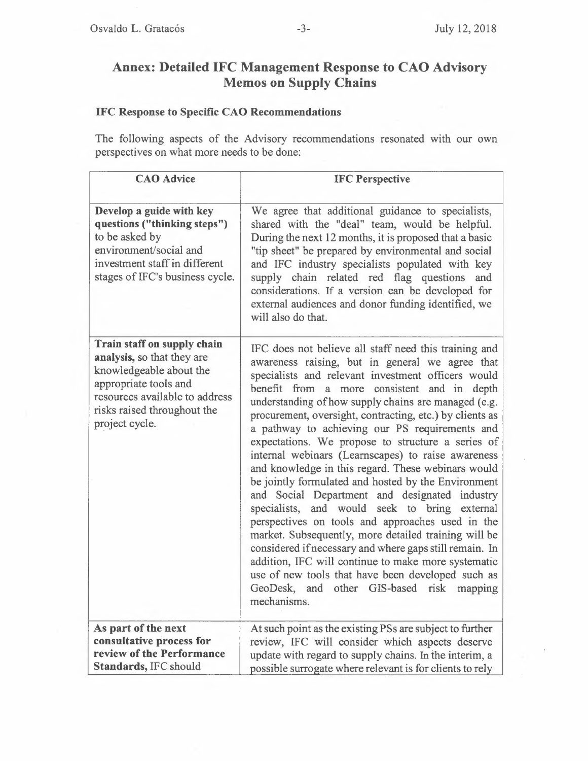## **Annex: Detailed IFC Management Response to CAO Advisory Memos on Supply Chains**

## **IFC Response to Specific CAO Recommendations**

The following aspects of the Advisory recommendations resonated with our own perspectives on what more needs to be done:

| <b>CAO</b> Advice                                                                                                                                                                                | <b>IFC Perspective</b>                                                                                                                                                                                                                                                                                                                                                                                                                                                                                                                                                                                                                                                                                                                                                                                                                                                                                                                                                                                                                                       |
|--------------------------------------------------------------------------------------------------------------------------------------------------------------------------------------------------|--------------------------------------------------------------------------------------------------------------------------------------------------------------------------------------------------------------------------------------------------------------------------------------------------------------------------------------------------------------------------------------------------------------------------------------------------------------------------------------------------------------------------------------------------------------------------------------------------------------------------------------------------------------------------------------------------------------------------------------------------------------------------------------------------------------------------------------------------------------------------------------------------------------------------------------------------------------------------------------------------------------------------------------------------------------|
| Develop a guide with key<br>questions ("thinking steps")<br>to be asked by<br>environment/social and<br>investment staff in different<br>stages of IFC's business cycle.                         | We agree that additional guidance to specialists,<br>shared with the "deal" team, would be helpful.<br>During the next 12 months, it is proposed that a basic<br>"tip sheet" be prepared by environmental and social<br>and IFC industry specialists populated with key<br>supply chain related red flag questions and<br>considerations. If a version can be developed for<br>external audiences and donor funding identified, we<br>will also do that.                                                                                                                                                                                                                                                                                                                                                                                                                                                                                                                                                                                                     |
| Train staff on supply chain<br>analysis, so that they are<br>knowledgeable about the<br>appropriate tools and<br>resources available to address<br>risks raised throughout the<br>project cycle. | IFC does not believe all staff need this training and<br>awareness raising, but in general we agree that<br>specialists and relevant investment officers would<br>benefit from a more consistent and in depth<br>understanding of how supply chains are managed (e.g.<br>procurement, oversight, contracting, etc.) by clients as<br>a pathway to achieving our PS requirements and<br>expectations. We propose to structure a series of<br>internal webinars (Learnscapes) to raise awareness<br>and knowledge in this regard. These webinars would<br>be jointly formulated and hosted by the Environment<br>and Social Department and designated industry<br>specialists, and would seek to bring external<br>perspectives on tools and approaches used in the<br>market. Subsequently, more detailed training will be<br>considered if necessary and where gaps still remain. In<br>addition, IFC will continue to make more systematic<br>use of new tools that have been developed such as<br>GeoDesk, and other GIS-based risk mapping<br>mechanisms. |
| As part of the next<br>consultative process for<br>review of the Performance<br>Standards, IFC should                                                                                            | At such point as the existing PSs are subject to further<br>review, IFC will consider which aspects deserve<br>update with regard to supply chains. In the interim, a<br>possible surrogate where relevant is for clients to rely                                                                                                                                                                                                                                                                                                                                                                                                                                                                                                                                                                                                                                                                                                                                                                                                                            |